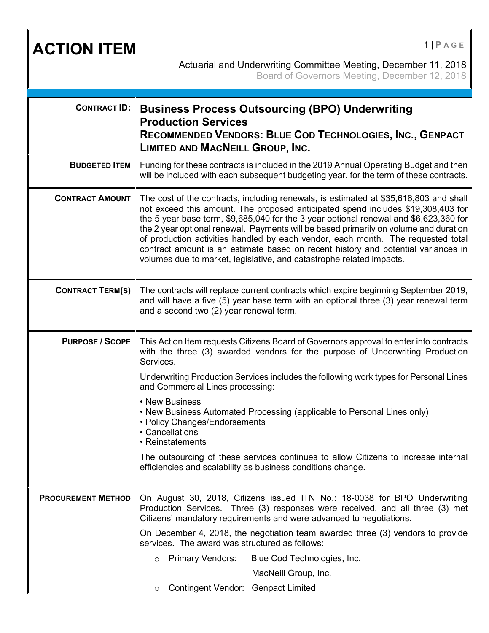**ACTION ITEM <sup>1</sup> <sup>|</sup> <sup>P</sup> AGE** Actuarial and Underwriting Committee Meeting, December 11, 2018 Board of Governors Meeting, December 12, 2018 **CONTRACT ID: Business Process Outsourcing (BPO) Underwriting Production Services RECOMMENDED VENDORS: BLUE COD TECHNOLOGIES, INC., GENPACT LIMITED AND MACNEILL GROUP, INC. BUDGETED ITEM** Funding for these contracts is included in the 2019 Annual Operating Budget and then will be included with each subsequent budgeting year, for the term of these contracts. **CONTRACT AMOUNT** The cost of the contracts, including renewals, is estimated at \$35,616,803 and shall not exceed this amount. The proposed anticipated spend includes \$19,308,403 for the 5 year base term, \$9,685,040 for the 3 year optional renewal and \$6,623,360 for the 2 year optional renewal. Payments will be based primarily on volume and duration of production activities handled by each vendor, each month. The requested total contract amount is an estimate based on recent history and potential variances in volumes due to market, legislative, and catastrophe related impacts. **CONTRACT TERM(S)** The contracts will replace current contracts which expire beginning September 2019, and will have a five (5) year base term with an optional three (3) year renewal term and a second two (2) year renewal term. **PURPOSE / SCOPE** This Action Item requests Citizens Board of Governors approval to enter into contracts with the three (3) awarded vendors for the purpose of Underwriting Production Services. Underwriting Production Services includes the following work types for Personal Lines and Commercial Lines processing: • New Business • New Business Automated Processing (applicable to Personal Lines only) • Policy Changes/Endorsements • Cancellations • Reinstatements The outsourcing of these services continues to allow Citizens to increase internal efficiencies and scalability as business conditions change. **PROCUREMENT METHOD** | On August 30, 2018, Citizens issued ITN No.: 18-0038 for BPO Underwriting Production Services. Three (3) responses were received, and all three (3) met Citizens' mandatory requirements and were advanced to negotiations. On December 4, 2018, the negotiation team awarded three (3) vendors to provide services. The award was structured as follows: o Primary Vendors: Blue Cod Technologies, Inc. MacNeill Group, Inc. o Contingent Vendor: Genpact Limited